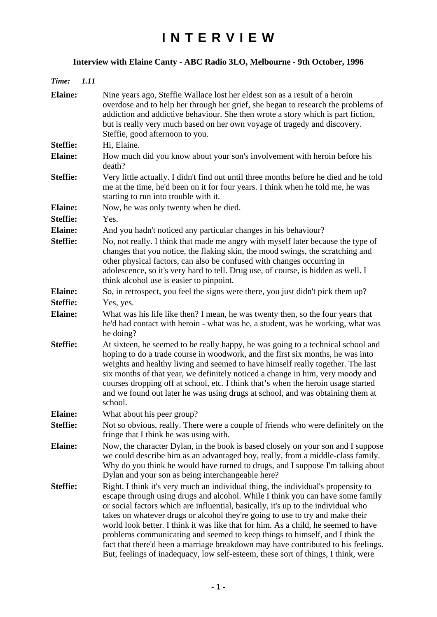## **I N T E R V I E W**

## **Interview with Elaine Canty - ABC Radio 3LO, Melbourne - 9th October, 1996**

| Time:           | <i>1.11</i> |                                                                                                                                                                                                                                                                                                                                                                                                                                                                                                                                                                                                                                                                                           |
|-----------------|-------------|-------------------------------------------------------------------------------------------------------------------------------------------------------------------------------------------------------------------------------------------------------------------------------------------------------------------------------------------------------------------------------------------------------------------------------------------------------------------------------------------------------------------------------------------------------------------------------------------------------------------------------------------------------------------------------------------|
| <b>Elaine:</b>  |             | Nine years ago, Steffie Wallace lost her eldest son as a result of a heroin<br>overdose and to help her through her grief, she began to research the problems of<br>addiction and addictive behaviour. She then wrote a story which is part fiction,<br>but is really very much based on her own voyage of tragedy and discovery.<br>Steffie, good afternoon to you.                                                                                                                                                                                                                                                                                                                      |
| <b>Steffie:</b> |             | Hi, Elaine.                                                                                                                                                                                                                                                                                                                                                                                                                                                                                                                                                                                                                                                                               |
| <b>Elaine:</b>  |             | How much did you know about your son's involvement with heroin before his<br>death?                                                                                                                                                                                                                                                                                                                                                                                                                                                                                                                                                                                                       |
| <b>Steffie:</b> |             | Very little actually. I didn't find out until three months before he died and he told<br>me at the time, he'd been on it for four years. I think when he told me, he was<br>starting to run into trouble with it.                                                                                                                                                                                                                                                                                                                                                                                                                                                                         |
| <b>Elaine:</b>  |             | Now, he was only twenty when he died.                                                                                                                                                                                                                                                                                                                                                                                                                                                                                                                                                                                                                                                     |
| <b>Steffie:</b> |             | Yes.                                                                                                                                                                                                                                                                                                                                                                                                                                                                                                                                                                                                                                                                                      |
| <b>Elaine:</b>  |             | And you hadn't noticed any particular changes in his behaviour?                                                                                                                                                                                                                                                                                                                                                                                                                                                                                                                                                                                                                           |
| <b>Steffie:</b> |             | No, not really. I think that made me angry with myself later because the type of<br>changes that you notice, the flaking skin, the mood swings, the scratching and<br>other physical factors, can also be confused with changes occurring in<br>adolescence, so it's very hard to tell. Drug use, of course, is hidden as well. I<br>think alcohol use is easier to pinpoint.                                                                                                                                                                                                                                                                                                             |
| <b>Elaine:</b>  |             | So, in retrospect, you feel the signs were there, you just didn't pick them up?                                                                                                                                                                                                                                                                                                                                                                                                                                                                                                                                                                                                           |
| <b>Steffie:</b> |             | Yes, yes.                                                                                                                                                                                                                                                                                                                                                                                                                                                                                                                                                                                                                                                                                 |
| <b>Elaine:</b>  |             | What was his life like then? I mean, he was twenty then, so the four years that<br>he'd had contact with heroin - what was he, a student, was he working, what was<br>he doing?                                                                                                                                                                                                                                                                                                                                                                                                                                                                                                           |
| <b>Steffie:</b> |             | At sixteen, he seemed to be really happy, he was going to a technical school and<br>hoping to do a trade course in woodwork, and the first six months, he was into<br>weights and healthy living and seemed to have himself really together. The last<br>six months of that year, we definitely noticed a change in him, very moody and<br>courses dropping off at school, etc. I think that's when the heroin usage started<br>and we found out later he was using drugs at school, and was obtaining them at<br>school.                                                                                                                                                                 |
| <b>Elaine:</b>  |             | What about his peer group?                                                                                                                                                                                                                                                                                                                                                                                                                                                                                                                                                                                                                                                                |
| <b>Steffie:</b> |             | Not so obvious, really. There were a couple of friends who were definitely on the<br>fringe that I think he was using with.                                                                                                                                                                                                                                                                                                                                                                                                                                                                                                                                                               |
| <b>Elaine:</b>  |             | Now, the character Dylan, in the book is based closely on your son and I suppose<br>we could describe him as an advantaged boy, really, from a middle-class family.<br>Why do you think he would have turned to drugs, and I suppose I'm talking about<br>Dylan and your son as being interchangeable here?                                                                                                                                                                                                                                                                                                                                                                               |
| <b>Steffie:</b> |             | Right. I think it's very much an individual thing, the individual's propensity to<br>escape through using drugs and alcohol. While I think you can have some family<br>or social factors which are influential, basically, it's up to the individual who<br>takes on whatever drugs or alcohol they're going to use to try and make their<br>world look better. I think it was like that for him. As a child, he seemed to have<br>problems communicating and seemed to keep things to himself, and I think the<br>fact that there'd been a marriage breakdown may have contributed to his feelings.<br>But, feelings of inadequacy, low self-esteem, these sort of things, I think, were |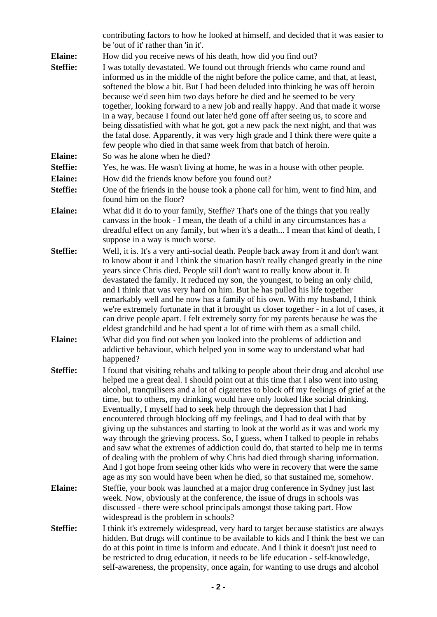|                 | contributing factors to how he looked at himself, and decided that it was easier to<br>be 'out of it' rather than 'in it'.                                                                                                                                                                                                                                                                                                                                                                                                                                                                                                                                                                                                                                                                                                                                                                                                                                                                                                      |
|-----------------|---------------------------------------------------------------------------------------------------------------------------------------------------------------------------------------------------------------------------------------------------------------------------------------------------------------------------------------------------------------------------------------------------------------------------------------------------------------------------------------------------------------------------------------------------------------------------------------------------------------------------------------------------------------------------------------------------------------------------------------------------------------------------------------------------------------------------------------------------------------------------------------------------------------------------------------------------------------------------------------------------------------------------------|
| <b>Elaine:</b>  | How did you receive news of his death, how did you find out?                                                                                                                                                                                                                                                                                                                                                                                                                                                                                                                                                                                                                                                                                                                                                                                                                                                                                                                                                                    |
| <b>Steffie:</b> | I was totally devastated. We found out through friends who came round and<br>informed us in the middle of the night before the police came, and that, at least,<br>softened the blow a bit. But I had been deluded into thinking he was off heroin<br>because we'd seen him two days before he died and he seemed to be very<br>together, looking forward to a new job and really happy. And that made it worse<br>in a way, because I found out later he'd gone off after seeing us, to score and<br>being dissatisfied with what he got, got a new pack the next night, and that was<br>the fatal dose. Apparently, it was very high grade and I think there were quite a<br>few people who died in that same week from that batch of heroin.                                                                                                                                                                                                                                                                                 |
| <b>Elaine:</b>  | So was he alone when he died?                                                                                                                                                                                                                                                                                                                                                                                                                                                                                                                                                                                                                                                                                                                                                                                                                                                                                                                                                                                                   |
| <b>Steffie:</b> | Yes, he was. He wasn't living at home, he was in a house with other people.                                                                                                                                                                                                                                                                                                                                                                                                                                                                                                                                                                                                                                                                                                                                                                                                                                                                                                                                                     |
| <b>Elaine:</b>  | How did the friends know before you found out?                                                                                                                                                                                                                                                                                                                                                                                                                                                                                                                                                                                                                                                                                                                                                                                                                                                                                                                                                                                  |
| <b>Steffie:</b> | One of the friends in the house took a phone call for him, went to find him, and<br>found him on the floor?                                                                                                                                                                                                                                                                                                                                                                                                                                                                                                                                                                                                                                                                                                                                                                                                                                                                                                                     |
| <b>Elaine:</b>  | What did it do to your family, Steffie? That's one of the things that you really<br>canvass in the book - I mean, the death of a child in any circumstances has a<br>dreadful effect on any family, but when it's a death I mean that kind of death, I<br>suppose in a way is much worse.                                                                                                                                                                                                                                                                                                                                                                                                                                                                                                                                                                                                                                                                                                                                       |
| <b>Steffie:</b> | Well, it is. It's a very anti-social death. People back away from it and don't want<br>to know about it and I think the situation hasn't really changed greatly in the nine<br>years since Chris died. People still don't want to really know about it. It<br>devastated the family. It reduced my son, the youngest, to being an only child,<br>and I think that was very hard on him. But he has pulled his life together<br>remarkably well and he now has a family of his own. With my husband, I think<br>we're extremely fortunate in that it brought us closer together - in a lot of cases, it<br>can drive people apart. I felt extremely sorry for my parents because he was the<br>eldest grandchild and he had spent a lot of time with them as a small child.                                                                                                                                                                                                                                                      |
| <b>Elaine:</b>  | What did you find out when you looked into the problems of addiction and<br>addictive behaviour, which helped you in some way to understand what had<br>happened?                                                                                                                                                                                                                                                                                                                                                                                                                                                                                                                                                                                                                                                                                                                                                                                                                                                               |
| <b>Steffie:</b> | I found that visiting rehabs and talking to people about their drug and alcohol use<br>helped me a great deal. I should point out at this time that I also went into using<br>alcohol, tranquilisers and a lot of cigarettes to block off my feelings of grief at the<br>time, but to others, my drinking would have only looked like social drinking.<br>Eventually, I myself had to seek help through the depression that I had<br>encountered through blocking off my feelings, and I had to deal with that by<br>giving up the substances and starting to look at the world as it was and work my<br>way through the grieving process. So, I guess, when I talked to people in rehabs<br>and saw what the extremes of addiction could do, that started to help me in terms<br>of dealing with the problem of why Chris had died through sharing information.<br>And I got hope from seeing other kids who were in recovery that were the same<br>age as my son would have been when he died, so that sustained me, somehow. |
| <b>Elaine:</b>  | Steffie, your book was launched at a major drug conference in Sydney just last<br>week. Now, obviously at the conference, the issue of drugs in schools was<br>discussed - there were school principals amongst those taking part. How<br>widespread is the problem in schools?                                                                                                                                                                                                                                                                                                                                                                                                                                                                                                                                                                                                                                                                                                                                                 |
| <b>Steffie:</b> | I think it's extremely widespread, very hard to target because statistics are always<br>hidden. But drugs will continue to be available to kids and I think the best we can<br>do at this point in time is inform and educate. And I think it doesn't just need to<br>be restricted to drug education, it needs to be life education - self-knowledge,<br>self-awareness, the propensity, once again, for wanting to use drugs and alcohol                                                                                                                                                                                                                                                                                                                                                                                                                                                                                                                                                                                      |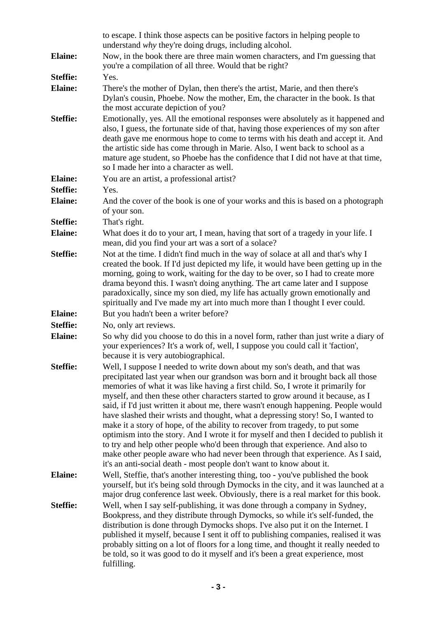|                 | to escape. I think those aspects can be positive factors in helping people to<br>understand why they're doing drugs, including alcohol.                                                                                                                                                                                                                                                                                                                                                                                                                                                                                                                                                                                                                                                                                                                                                                                      |
|-----------------|------------------------------------------------------------------------------------------------------------------------------------------------------------------------------------------------------------------------------------------------------------------------------------------------------------------------------------------------------------------------------------------------------------------------------------------------------------------------------------------------------------------------------------------------------------------------------------------------------------------------------------------------------------------------------------------------------------------------------------------------------------------------------------------------------------------------------------------------------------------------------------------------------------------------------|
| <b>Elaine:</b>  | Now, in the book there are three main women characters, and I'm guessing that<br>you're a compilation of all three. Would that be right?                                                                                                                                                                                                                                                                                                                                                                                                                                                                                                                                                                                                                                                                                                                                                                                     |
| <b>Steffie:</b> | Yes.                                                                                                                                                                                                                                                                                                                                                                                                                                                                                                                                                                                                                                                                                                                                                                                                                                                                                                                         |
| <b>Elaine:</b>  | There's the mother of Dylan, then there's the artist, Marie, and then there's<br>Dylan's cousin, Phoebe. Now the mother, Em, the character in the book. Is that<br>the most accurate depiction of you?                                                                                                                                                                                                                                                                                                                                                                                                                                                                                                                                                                                                                                                                                                                       |
| <b>Steffie:</b> | Emotionally, yes. All the emotional responses were absolutely as it happened and<br>also, I guess, the fortunate side of that, having those experiences of my son after<br>death gave me enormous hope to come to terms with his death and accept it. And<br>the artistic side has come through in Marie. Also, I went back to school as a<br>mature age student, so Phoebe has the confidence that I did not have at that time,<br>so I made her into a character as well.                                                                                                                                                                                                                                                                                                                                                                                                                                                  |
| <b>Elaine:</b>  | You are an artist, a professional artist?                                                                                                                                                                                                                                                                                                                                                                                                                                                                                                                                                                                                                                                                                                                                                                                                                                                                                    |
| <b>Steffie:</b> | Yes.                                                                                                                                                                                                                                                                                                                                                                                                                                                                                                                                                                                                                                                                                                                                                                                                                                                                                                                         |
| <b>Elaine:</b>  | And the cover of the book is one of your works and this is based on a photograph<br>of your son.                                                                                                                                                                                                                                                                                                                                                                                                                                                                                                                                                                                                                                                                                                                                                                                                                             |
| <b>Steffie:</b> | That's right.                                                                                                                                                                                                                                                                                                                                                                                                                                                                                                                                                                                                                                                                                                                                                                                                                                                                                                                |
| <b>Elaine:</b>  | What does it do to your art, I mean, having that sort of a tragedy in your life. I<br>mean, did you find your art was a sort of a solace?                                                                                                                                                                                                                                                                                                                                                                                                                                                                                                                                                                                                                                                                                                                                                                                    |
| <b>Steffie:</b> | Not at the time. I didn't find much in the way of solace at all and that's why I<br>created the book. If I'd just depicted my life, it would have been getting up in the<br>morning, going to work, waiting for the day to be over, so I had to create more<br>drama beyond this. I wasn't doing anything. The art came later and I suppose<br>paradoxically, since my son died, my life has actually grown emotionally and<br>spiritually and I've made my art into much more than I thought I ever could.                                                                                                                                                                                                                                                                                                                                                                                                                  |
| <b>Elaine:</b>  | But you hadn't been a writer before?                                                                                                                                                                                                                                                                                                                                                                                                                                                                                                                                                                                                                                                                                                                                                                                                                                                                                         |
| <b>Steffie:</b> | No, only art reviews.                                                                                                                                                                                                                                                                                                                                                                                                                                                                                                                                                                                                                                                                                                                                                                                                                                                                                                        |
| <b>Elaine:</b>  | So why did you choose to do this in a novel form, rather than just write a diary of<br>your experiences? It's a work of, well, I suppose you could call it 'faction',<br>because it is very autobiographical.                                                                                                                                                                                                                                                                                                                                                                                                                                                                                                                                                                                                                                                                                                                |
| <b>Steffie:</b> | Well, I suppose I needed to write down about my son's death, and that was<br>precipitated last year when our grandson was born and it brought back all those<br>memories of what it was like having a first child. So, I wrote it primarily for<br>myself, and then these other characters started to grow around it because, as I<br>said, if I'd just written it about me, there wasn't enough happening. People would<br>have slashed their wrists and thought, what a depressing story! So, I wanted to<br>make it a story of hope, of the ability to recover from tragedy, to put some<br>optimism into the story. And I wrote it for myself and then I decided to publish it<br>to try and help other people who'd been through that experience. And also to<br>make other people aware who had never been through that experience. As I said,<br>it's an anti-social death - most people don't want to know about it. |
| <b>Elaine:</b>  | Well, Steffie, that's another interesting thing, too - you've published the book<br>yourself, but it's being sold through Dymocks in the city, and it was launched at a<br>major drug conference last week. Obviously, there is a real market for this book.                                                                                                                                                                                                                                                                                                                                                                                                                                                                                                                                                                                                                                                                 |
| <b>Steffie:</b> | Well, when I say self-publishing, it was done through a company in Sydney,<br>Bookpress, and they distribute through Dymocks, so while it's self-funded, the<br>distribution is done through Dymocks shops. I've also put it on the Internet. I<br>published it myself, because I sent it off to publishing companies, realised it was<br>probably sitting on a lot of floors for a long time, and thought it really needed to<br>be told, so it was good to do it myself and it's been a great experience, most<br>fulfilling.                                                                                                                                                                                                                                                                                                                                                                                              |